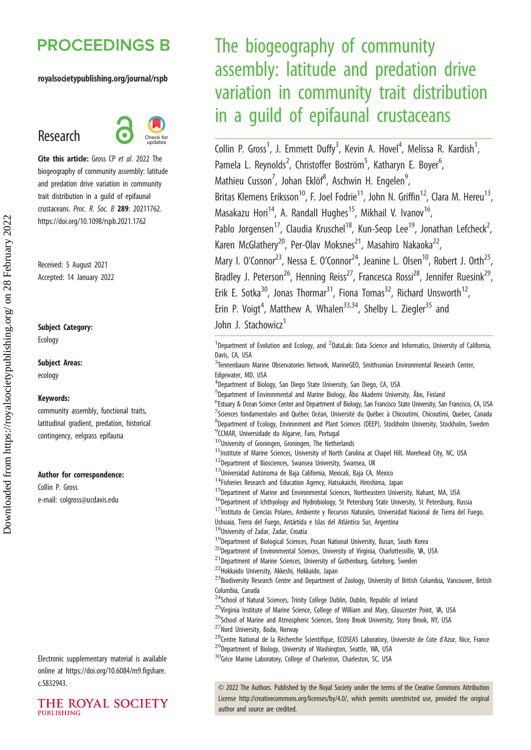## **PROCEEDINGS B**

#### royalsocietypublishing.org/journal/rspb

## Research



Cite this article: Gross CP et al. 2022 The biogeography of community assembly: latitude and predation drive variation in community trait distribution in a guild of epifaunal crustaceans. Proc. R. Soc. B 289: 20211762. https://doi.org/10.1098/rspb.2021.1762

Received: 5 August 2021 Accepted: 14 January 2022

#### Subject Category:

Ecology

## Subject Areas:

ecology

#### Keywords:

community assembly, functional traits, latitudinal gradient, predation, historical contingency, eelgrass epifauna

#### Author for correspondence:

Collin P. Gross e-mail: [colgross@ucdavis.edu](mailto:colgross@ucdavis.edu)

Electronic supplementary material is available online at [https://doi.org/10.6084/m9.figshare.](https://doi.org/10.6084/m9.figshare.c.5832943) [c.5832943.](https://doi.org/10.6084/m9.figshare.c.5832943)



# The biogeography of community assembly: latitude and predation drive variation in community trait distribution in a guild of epifaunal crustaceans

Collin P. Gross<sup>1</sup>, J. Emmett Duffy<sup>3</sup>, Kevin A. Hovel<sup>4</sup>, Melissa R. Kardish<sup>1</sup> , Pamela L. Reynolds<sup>2</sup>, Christoffer Boström<sup>5</sup>, Katharyn E. Boyer<sup>6</sup> , Mathieu Cusson<sup>7</sup>, Johan Eklöf<sup>8</sup>, Aschwin H. Engelen<sup>9</sup> , Britas Klemens Eriksson<sup>10</sup>, F. Joel Fodrie<sup>11</sup>, John N. Griffin<sup>12</sup>, Clara M. Hereu<sup>13</sup>, Masakazu Hori<sup>14</sup>, A. Randall Hughes<sup>15</sup>, Mikhail V. Ivanov<sup>16</sup>, Pablo Jorgensen<sup>17</sup>, Claudia Kruschel<sup>18</sup>, Kun-Seop Lee<sup>19</sup>, Jonathan Lefcheck<sup>2</sup>, , Karen McGlathery<sup>20</sup>, Per-Olav Moksnes<sup>21</sup>, Masahiro Nakaoka<sup>22</sup> Mary I. O'Connor<sup>23</sup>, Nessa E. O'Connor<sup>24</sup>, Jeanine L. Olsen<sup>10</sup>, Robert J. Orth<sup>25</sup>, Bradley J. Peterson<sup>26</sup>, Henning Reiss<sup>27</sup>, Francesca Rossi<sup>28</sup>, Jennifer Ruesink<sup>29</sup>, Erik E. Sotka<sup>30</sup>, Jonas Thormar<sup>31</sup>, Fiona Tomas<sup>32</sup>, Richard Unsworth<sup>12</sup> Erin P. Voigt<sup>4</sup>, Matthew A. Whalen<sup>33,34</sup>, Shelby L. Ziegler<sup>35</sup> and John J. Stachowicz<sup>1</sup>

<sup>1</sup>Department of Evolution and Ecology, and <sup>2</sup>DataLab: Data Science and Informatics, University of California, Davis, CA, USA

- <sup>3</sup>Tennenbaum Marine Observatories Network, MarineGEO, Smithsonian Environmental Research Center, Edgewater, MD, USA
- 4 Department of Biology, San Diego State University, San Diego, CA, USA
- 5 Department of Environmental and Marine Biology, Åbo Akademi University, Åbo, Finland
- <sup>6</sup>Estuary & Ocean Science Center and Department of Biology, San Francisco State University, San Francisco, CA, USA 7 Sciences fondamentales and Québec Océan, Université du Québec à Chicoutimi, Chicoutimi, Quebec, Canada 8 Department of Ecology, Environment and Plant Sciences (DEEP), Stockholm University, Stockholm, Sweden
- <sup>9</sup>CCMAR, Universidade do Algarve, Faro, Portugal
- $10$ University of Groningen, Groningen, The Netherlands
- <sup>11</sup> Institute of Marine Sciences, University of North Carolina at Chapel Hill, Morehead City, NC, USA
- <sup>12</sup>Department of Biosciences, Swansea University, Swansea, UK
- 13Universidad Autónoma de Baja California, Mexicali, Baja CA, Mexico
- <sup>14</sup>Fisheries Research and Education Agency, Hatsukaichi, Hiroshima, Japan
- <sup>15</sup>Department of Marine and Environmental Sciences, Northeastern University, Nahant, MA, USA
- <sup>16</sup>Department of Ichthyology and Hydrobiology, St Petersburg State University, St Petersburg, Russia
- 17Instituto de Ciencias Polares, Ambiente y Recursos Naturales, Universidad Nacional de Tierra del Fuego, Ushuaia, Tierra del Fuego, Antártida e Islas del Atlántico Sur, Argentina
- 18University of Zadar, Zadar, Croatia
- $19$ Department of Biological Sciences, Pusan National University, Busan, South Korea
- <sup>20</sup>Department of Environmental Sciences, University of Virginia, Charlottesville, VA, USA
- $21$ Department of Marine Sciences, University of Gothenburg, Goteborg, Sweden
- <sup>22</sup>Hokkaido University, Akkeshi, Hokkaido, Japan

<sup>23</sup>Biodiversity Research Centre and Department of Zoology, University of British Columbia, Vancouver, British Columbia, Canada

- <sup>24</sup>School of Natural Sciences, Trinity College Dublin, Dublin, Republic of Ireland
- <sup>25</sup>Virginia Institute of Marine Science, College of William and Mary, Gloucester Point, VA, USA <sup>26</sup>School of Marine and Atmospheric Sciences, Stony Brook University, Stony Brook, NY, USA
	-
- <sup>27</sup>Nord University, Bodø, Norway
- <sup>28</sup>Centre National de la Récherche Scientifique, ECOSEAS Laboratory, Université de Cote d'Azur, Nice, France <sup>29</sup>Department of Biology, University of Washington, Seattle, WA, USA
- <sup>30</sup>Grice Marine Laboratory, College of Charleston, Charleston, SC, USA

© 2022 The Authors. Published by the Royal Society under the terms of the Creative Commons Attribution License<http://creativecommons.org/licenses/by/4.0/>, which permits unrestricted use, provided the original author and source are credited.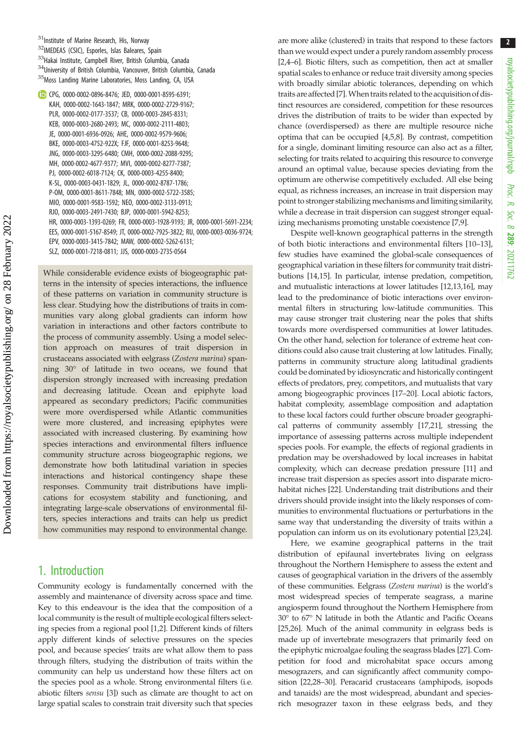CPG, [0000-0002-0896-8476;](http://orcid.org/0000-0002-0896-8476) JED, [0000-0001-8595-6391;](http://orcid.org/0000-0001-8595-6391) KAH, [0000-0002-1643-1847;](http://orcid.org/0000-0002-1643-1847) MRK, [0000-0002-2729-9167;](http://orcid.org/0000-0002-2729-9167) PLR, [0000-0002-0177-3537](http://orcid.org/0000-0002-0177-3537); CB, [0000-0003-2845-8331;](http://orcid.org/0000-0003-2845-8331) KEB, [0000-0003-2680-2493](http://orcid.org/0000-0003-2680-2493); MC, [0000-0002-2111-4803;](http://orcid.org/0000-0002-2111-4803) JE, [0000-0001-6936-0926](http://orcid.org/0000-0001-6936-0926); AHE, [0000-0002-9579-9606](http://orcid.org/0000-0002-9579-9606); BKE, [0000-0003-4752-922X](http://orcid.org/0000-0003-4752-922X); FJF, [0000-0001-8253-9648](http://orcid.org/0000-0001-8253-9648); JNG, [0000-0003-3295-6480](http://orcid.org/0000-0003-3295-6480); CMH, [0000-0002-2088-9295;](http://orcid.org/0000-0002-2088-9295) MH, [0000-0002-4677-9377;](http://orcid.org/0000-0002-4677-9377) MVI, [0000-0002-8277-7387](http://orcid.org/0000-0002-8277-7387); PJ, [0000-0002-6018-7124;](http://orcid.org/0000-0002-6018-7124) CK, [0000-0003-4255-8400](http://orcid.org/0000-0003-4255-8400); K-SL, [0000-0003-0431-1829](http://orcid.org/0000-0003-0431-1829); JL, [0000-0002-8787-1786](http://orcid.org/0000-0002-8787-1786); P-OM, [0000-0001-8611-7848](http://orcid.org/0000-0001-8611-7848); MN, [0000-0002-5722-3585](http://orcid.org/0000-0002-5722-3585); MIO, [0000-0001-9583-1592](http://orcid.org/0000-0001-9583-1592); NEO, [0000-0002-3133-0913;](http://orcid.org/0000-0002-3133-0913) RJO, [0000-0003-2491-7430](http://orcid.org/0000-0003-2491-7430); BJP, [0000-0001-5942-8253;](http://orcid.org/0000-0001-5942-8253) HR, [0000-0003-1393-0269;](http://orcid.org/0000-0003-1393-0269) FR, [0000-0003-1928-9193;](http://orcid.org/0000-0003-1928-9193) JR, [0000-0001-5691-2234;](http://orcid.org/0000-0001-5691-2234) EES, [0000-0001-5167-8549;](http://orcid.org/0000-0001-5167-8549) JT, [0000-0002-7925-3822](http://orcid.org/0000-0002-7925-3822); RU, [0000-0003-0036-9724;](http://orcid.org/0000-0003-0036-9724) EPV, [0000-0003-3415-7842](http://orcid.org/0000-0003-3415-7842); MAW, [0000-0002-5262-6131](http://orcid.org/0000-0002-5262-6131); SLZ, [0000-0001-7218-0811;](http://orcid.org/0000-0001-7218-0811) JJS, [0000-0003-2735-0564](http://orcid.org/0000-0003-2735-0564)

While considerable evidence exists of biogeographic patterns in the intensity of species interactions, the influence of these patterns on variation in community structure is less clear. Studying how the distributions of traits in communities vary along global gradients can inform how variation in interactions and other factors contribute to the process of community assembly. Using a model selection approach on measures of trait dispersion in crustaceans associated with eelgrass (Zostera marina) spanning 30° of latitude in two oceans, we found that dispersion strongly increased with increasing predation and decreasing latitude. Ocean and epiphyte load appeared as secondary predictors; Pacific communities were more overdispersed while Atlantic communities were more clustered, and increasing epiphytes were associated with increased clustering. By examining how species interactions and environmental filters influence community structure across biogeographic regions, we demonstrate how both latitudinal variation in species interactions and historical contingency shape these responses. Community trait distributions have implications for ecosystem stability and functioning, and integrating large-scale observations of environmental filters, species interactions and traits can help us predict how communities may respond to environmental change.

## 1. Introduction

Community ecology is fundamentally concerned with the assembly and maintenance of diversity across space and time. Key to this endeavour is the idea that the composition of a local community is the result of multiple ecological filters selecting species from a regional pool [\[1,2](#page-8-0)]. Different kinds of filters apply different kinds of selective pressures on the species pool, and because species' traits are what allow them to pass through filters, studying the distribution of traits within the community can help us understand how these filters act on the species pool as a whole. Strong environmental filters (i.e. abiotic filters sensu [[3](#page-8-0)]) such as climate are thought to act on large spatial scales to constrain trait diversity such that species are more alike (clustered) in traits that respond to these factors than we would expect under a purely random assembly process [[2,4](#page-8-0)–[6](#page-8-0)]. Biotic filters, such as competition, then act at smaller spatial scales to enhance or reduce trait diversity among species with broadly similar abiotic tolerances, depending on which traits are affected [\[7](#page-8-0)].When traits related to the acquisition of distinct resources are considered, competition for these resources drives the distribution of traits to be wider than expected by chance (overdispersed) as there are multiple resource niche optima that can be occupied [\[4](#page-8-0),[5,8\]](#page-8-0). By contrast, competition for a single, dominant limiting resource can also act as a filter, selecting for traits related to acquiring this resource to converge around an optimal value, because species deviating from the optimum are otherwise competitively excluded. All else being equal, as richness increases, an increase in trait dispersion may point to stronger stabilizing mechanisms and limiting similarity, while a decrease in trait dispersion can suggest stronger equalizing mechanisms promoting unstable coexistence [[7,9\]](#page-8-0).

Despite well-known geographical patterns in the strength of both biotic interactions and environmental filters [\[10](#page-8-0)–[13\]](#page-8-0), few studies have examined the global-scale consequences of geographical variation in these filters for community trait distributions [\[14,15](#page-8-0)]. In particular, intense predation, competition, and mutualistic interactions at lower latitudes [\[12,13,16\]](#page-8-0), may lead to the predominance of biotic interactions over environmental filters in structuring low-latitude communities. This may cause stronger trait clustering near the poles that shifts towards more overdispersed communities at lower latitudes. On the other hand, selection for tolerance of extreme heat conditions could also cause trait clustering at low latitudes. Finally, patterns in community structure along latitudinal gradients could be dominated by idiosyncratic and historically contingent effects of predators, prey, competitors, and mutualists that vary among biogeographic provinces [[17](#page-8-0)–[20\]](#page-8-0). Local abiotic factors, habitat complexity, assemblage composition and adaptation to these local factors could further obscure broader geographical patterns of community assembly [[17,21\]](#page-8-0), stressing the importance of assessing patterns across multiple independent species pools. For example, the effects of regional gradients in predation may be overshadowed by local increases in habitat complexity, which can decrease predation pressure [[11](#page-8-0)] and increase trait dispersion as species assort into disparate microhabitat niches [[22](#page-8-0)]. Understanding trait distributions and their drivers should provide insight into the likely responses of communities to environmental fluctuations or perturbations in the same way that understanding the diversity of traits within a population can inform us on its evolutionary potential [[23](#page-8-0),[24](#page-8-0)].

Here, we examine geographical patterns in the trait distribution of epifaunal invertebrates living on eelgrass throughout the Northern Hemisphere to assess the extent and causes of geographical variation in the drivers of the assembly of these communities. Eelgrass (Zostera marina) is the world's most widespread species of temperate seagrass, a marine angiosperm found throughout the Northern Hemisphere from 30° to 67° N latitude in both the Atlantic and Pacific Oceans [[25](#page-8-0),[26](#page-8-0)]. Much of the animal community in eelgrass beds is made up of invertebrate mesograzers that primarily feed on the epiphytic microalgae fouling the seagrass blades [\[27](#page-8-0)]. Competition for food and microhabitat space occurs among mesograzers, and can significantly affect community composition [[22,](#page-8-0)[28](#page-9-0)–[30\]](#page-9-0). Peracarid crustaceans (amphipods, isopods and tanaids) are the most widespread, abundant and speciesrich mesograzer taxon in these eelgrass beds, and they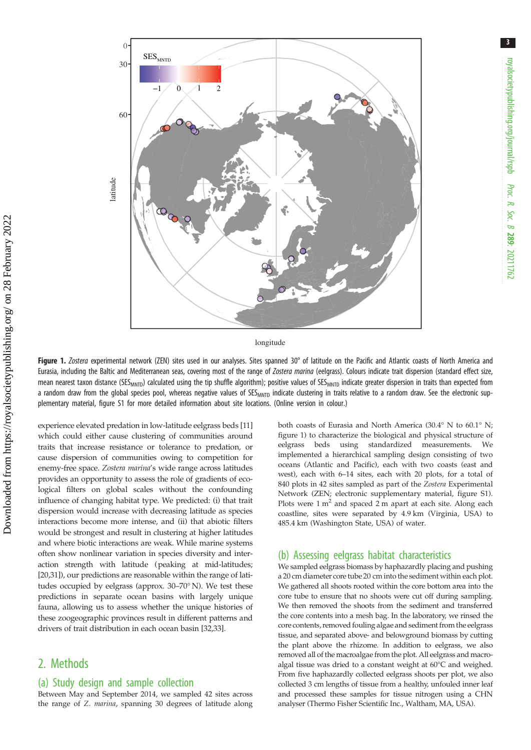

longitude

Figure 1. Zostera experimental network (ZEN) sites used in our analyses. Sites spanned 30° of latitude on the Pacific and Atlantic coasts of North America and Eurasia, including the Baltic and Mediterranean seas, covering most of the range of Zostera marina (eelgrass). Colours indicate trait dispersion (standard effect size, mean nearest taxon distance (SES<sub>MNTD</sub>) calculated using the tip shuffle algorithm); positive values of SES<sub>MNTD</sub> indicate greater dispersion in traits than expected from a random draw from the global species pool, whereas negative values of SES<sub>MNTD</sub> indicate clustering in traits relative to a random draw. See the electronic supplementary material, figure S1 for more detailed information about site locations. (Online version in colour.)

experience elevated predation in low-latitude eelgrass beds [\[11\]](#page-8-0) which could either cause clustering of communities around traits that increase resistance or tolerance to predation, or cause dispersion of communities owing to competition for enemy-free space. Zostera marina's wide range across latitudes provides an opportunity to assess the role of gradients of ecological filters on global scales without the confounding influence of changing habitat type. We predicted: (i) that trait dispersion would increase with decreasing latitude as species interactions become more intense, and (ii) that abiotic filters would be strongest and result in clustering at higher latitudes and where biotic interactions are weak. While marine systems often show nonlinear variation in species diversity and interaction strength with latitude (peaking at mid-latitudes; [\[20](#page-8-0)[,31](#page-9-0)]), our predictions are reasonable within the range of latitudes occupied by eelgrass (approx. 30–70° N). We test these predictions in separate ocean basins with largely unique fauna, allowing us to assess whether the unique histories of these zoogeographic provinces result in different patterns and drivers of trait distribution in each ocean basin [\[32,33](#page-9-0)].

## 2. Methods

#### (a) Study design and sample collection

Between May and September 2014, we sampled 42 sites across the range of Z. marina, spanning 30 degrees of latitude along both coasts of Eurasia and North America (30.4° N to 60.1° N; figure 1) to characterize the biological and physical structure of eelgrass beds using standardized measurements. We implemented a hierarchical sampling design consisting of two oceans (Atlantic and Pacific), each with two coasts (east and west), each with 6–14 sites, each with 20 plots, for a total of 840 plots in 42 sites sampled as part of the Zostera Experimental Network (ZEN; electronic supplementary material, figure S1). Plots were  $1 \text{ m}^2$  and spaced  $2 \text{ m}$  apart at each site. Along each coastline, sites were separated by 4.9 km (Virginia, USA) to 485.4 km (Washington State, USA) of water.

#### (b) Assessing eelgrass habitat characteristics

We sampled eelgrass biomass by haphazardly placing and pushing a 20 cm diameter core tube 20 cm into the sediment within each plot. We gathered all shoots rooted within the core bottom area into the core tube to ensure that no shoots were cut off during sampling. We then removed the shoots from the sediment and transferred the core contents into a mesh bag. In the laboratory, we rinsed the core contents, removed fouling algae and sediment from the eelgrass tissue, and separated above- and belowground biomass by cutting the plant above the rhizome. In addition to eelgrass, we also removed all of the macroalgae from the plot. All eelgrass and macroalgal tissue was dried to a constant weight at 60°C and weighed. From five haphazardly collected eelgrass shoots per plot, we also collected 3 cm lengths of tissue from a healthy, unfouled inner leaf and processed these samples for tissue nitrogen using a CHN analyser (Thermo Fisher Scientific Inc., Waltham, MA, USA).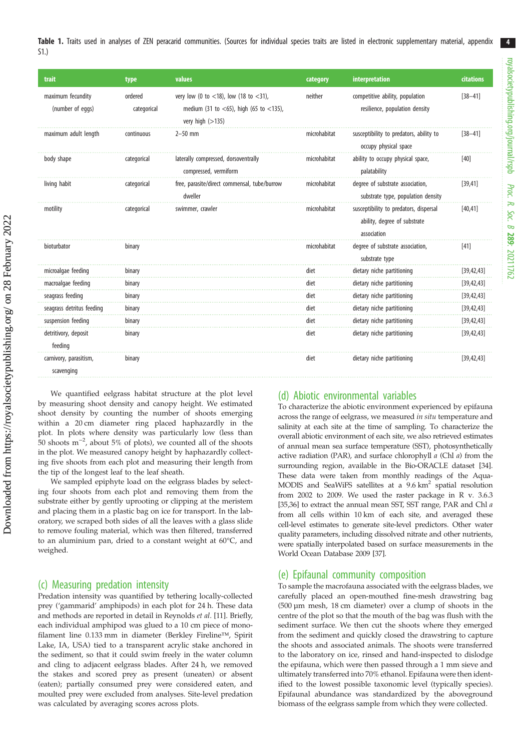<span id="page-3-0"></span>

| trait                                 | type                   | values                                                                                                | category     | interpretation                                                                        | citations    |
|---------------------------------------|------------------------|-------------------------------------------------------------------------------------------------------|--------------|---------------------------------------------------------------------------------------|--------------|
| maximum fecundity<br>(number of eggs) | ordered<br>categorical | very low (0 to <18), low (18 to <31),<br>medium (31 to <65), high (65 to <135),<br>very high $(>135)$ | neither      | competitive ability, population<br>resilience, population density                     | $[38 - 41]$  |
| maximum adult length                  | continuous             | $2 - 50$ mm                                                                                           | microhabitat | susceptibility to predators, ability to<br>occupy physical space                      | $[38 - 41]$  |
| body shape                            | categorical            | laterally compressed, dorsoventrally<br>compressed, vermiform                                         | microhabitat | ability to occupy physical space,<br>palatability                                     | [40]         |
| living habit                          | categorical            | free, parasite/direct commensal, tube/burrow<br>dweller                                               | microhabitat | degree of substrate association,<br>substrate type, population density                | [39, 41]     |
| motility                              | categorical            | swimmer, crawler                                                                                      | microhabitat | susceptibility to predators, dispersal<br>ability, degree of substrate<br>association | [40, 41]     |
| bioturbator                           | binary                 |                                                                                                       | microhabitat | degree of substrate association,<br>substrate type                                    | $[41]$       |
| microalgae feeding                    | binary                 |                                                                                                       | diet         | dietary niche partitioning                                                            | [39, 42, 43] |
| macroalgae feeding                    | binary                 |                                                                                                       | diet         | dietary niche partitioning                                                            | [39, 42, 43] |
| seagrass feeding                      | binary                 |                                                                                                       | diet         | dietary niche partitioning                                                            | [39, 42, 43] |
| seagrass detritus feeding             | binary                 |                                                                                                       | diet         | dietary niche partitioning                                                            | [39, 42, 43] |
| suspension feeding                    | binary                 |                                                                                                       | diet         | dietary niche partitioning                                                            | [39, 42, 43] |
| detritivory, deposit<br>feeding       | binary                 |                                                                                                       | diet         | dietary niche partitioning                                                            | [39, 42, 43] |
| carnivory, parasitism,<br>scavenging  | binary                 |                                                                                                       | diet         | dietary niche partitioning                                                            | [39, 42, 43] |

We quantified eelgrass habitat structure at the plot level by measuring shoot density and canopy height. We estimated shoot density by counting the number of shoots emerging within a 20 cm diameter ring placed haphazardly in the plot. In plots where density was particularly low (less than 50 shoots  $m^{-2}$ , about 5% of plots), we counted all of the shoots in the plot. We measured canopy height by haphazardly collecting five shoots from each plot and measuring their length from the tip of the longest leaf to the leaf sheath.

We sampled epiphyte load on the eelgrass blades by selecting four shoots from each plot and removing them from the substrate either by gently uprooting or clipping at the meristem and placing them in a plastic bag on ice for transport. In the laboratory, we scraped both sides of all the leaves with a glass slide to remove fouling material, which was then filtered, transferred to an aluminium pan, dried to a constant weight at 60°C, and weighed.

#### (c) Measuring predation intensity

Predation intensity was quantified by tethering locally-collected prey ('gammarid' amphipods) in each plot for 24 h. These data and methods are reported in detail in Reynolds et al. [[11\]](#page-8-0). Briefly, each individual amphipod was glued to a 10 cm piece of monofilament line 0.133 mm in diameter (Berkley Fireline™, Spirit Lake, IA, USA) tied to a transparent acrylic stake anchored in the sediment, so that it could swim freely in the water column and cling to adjacent eelgrass blades. After 24 h, we removed the stakes and scored prey as present (uneaten) or absent (eaten); partially consumed prey were considered eaten, and moulted prey were excluded from analyses. Site-level predation was calculated by averaging scores across plots.

#### (d) Abiotic environmental variables

To characterize the abiotic environment experienced by epifauna across the range of eelgrass, we measured in situ temperature and salinity at each site at the time of sampling. To characterize the overall abiotic environment of each site, we also retrieved estimates of annual mean sea surface temperature (SST), photosynthetically active radiation (PAR), and surface chlorophyll a (Chl a) from the surrounding region, available in the Bio-ORACLE dataset [[34\]](#page-9-0). These data were taken from monthly readings of the Aqua-MODIS and SeaWiFS satellites at a 9.6 km2 spatial resolution from 2002 to 2009. We used the raster package in R v. 3.6.3 [\[35,36\]](#page-9-0) to extract the annual mean SST, SST range, PAR and Chl a from all cells within 10 km of each site, and averaged these cell-level estimates to generate site-level predictors. Other water quality parameters, including dissolved nitrate and other nutrients, were spatially interpolated based on surface measurements in the World Ocean Database 2009 [\[37\]](#page-9-0).

#### (e) Epifaunal community composition

To sample the macrofauna associated with the eelgrass blades, we carefully placed an open-mouthed fine-mesh drawstring bag (500 µm mesh, 18 cm diameter) over a clump of shoots in the centre of the plot so that the mouth of the bag was flush with the sediment surface. We then cut the shoots where they emerged from the sediment and quickly closed the drawstring to capture the shoots and associated animals. The shoots were transferred to the laboratory on ice, rinsed and hand-inspected to dislodge the epifauna, which were then passed through a 1 mm sieve and ultimately transferred into 70% ethanol. Epifauna were then identified to the lowest possible taxonomic level (typically species). Epifaunal abundance was standardized by the aboveground biomass of the eelgrass sample from which they were collected.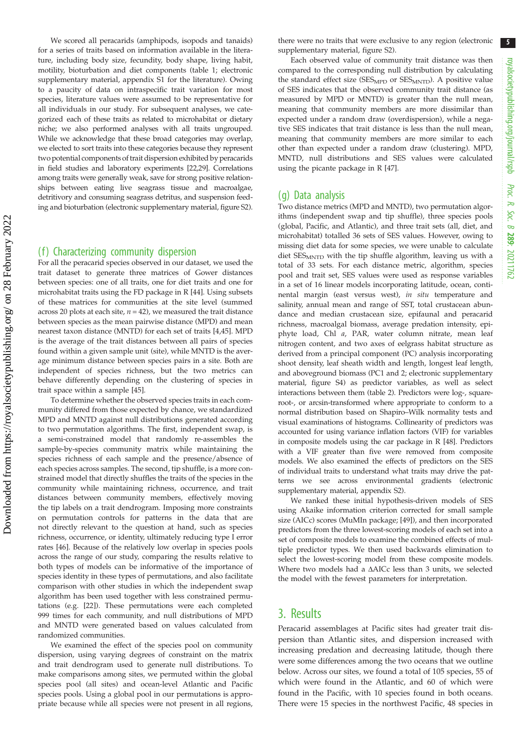We scored all peracarids (amphipods, isopods and tanaids) for a series of traits based on information available in the literature, including body size, fecundity, body shape, living habit, motility, bioturbation and diet components ([table 1;](#page-3-0) electronic supplementary material, appendix S1 for the literature). Owing to a paucity of data on intraspecific trait variation for most species, literature values were assumed to be representative for all individuals in our study. For subsequent analyses, we categorized each of these traits as related to microhabitat or dietary niche; we also performed analyses with all traits ungrouped. While we acknowledge that these broad categories may overlap, we elected to sort traits into these categories because they represent two potential components of trait dispersion exhibited by peracarids in field studies and laboratory experiments [\[22,](#page-8-0)[29\]](#page-9-0). Correlations among traits were generally weak, save for strong positive relationships between eating live seagrass tissue and macroalgae, detritivory and consuming seagrass detritus, and suspension feeding and bioturbation (electronic supplementary material, figure S2).

#### (f) Characterizing community dispersion

For all the peracarid species observed in our dataset, we used the trait dataset to generate three matrices of Gower distances between species: one of all traits, one for diet traits and one for microhabitat traits using the FD package in R [\[44\]](#page-9-0). Using subsets of these matrices for communities at the site level (summed across 20 plots at each site,  $n = 42$ ), we measured the trait distance between species as the mean pairwise distance (MPD) and mean nearest taxon distance (MNTD) for each set of traits [[4,](#page-8-0)[45](#page-9-0)]. MPD is the average of the trait distances between all pairs of species found within a given sample unit (site), while MNTD is the average minimum distance between species pairs in a site. Both are independent of species richness, but the two metrics can behave differently depending on the clustering of species in trait space within a sample [\[45\]](#page-9-0).

To determine whether the observed species traits in each community differed from those expected by chance, we standardized MPD and MNTD against null distributions generated according to two permutation algorithms. The first, independent swap, is a semi-constrained model that randomly re-assembles the sample-by-species community matrix while maintaining the species richness of each sample and the presence/absence of each species across samples. The second, tip shuffle, is a more constrained model that directly shuffles the traits of the species in the community while maintaining richness, occurrence, and trait distances between community members, effectively moving the tip labels on a trait dendrogram. Imposing more constraints on permutation controls for patterns in the data that are not directly relevant to the question at hand, such as species richness, occurrence, or identity, ultimately reducing type I error rates [[46](#page-9-0)]. Because of the relatively low overlap in species pools across the range of our study, comparing the results relative to both types of models can be informative of the importance of species identity in these types of permutations, and also facilitate comparison with other studies in which the independent swap algorithm has been used together with less constrained permutations (e.g. [\[22\]](#page-8-0)). These permutations were each completed 999 times for each community, and null distributions of MPD and MNTD were generated based on values calculated from randomized communities.

We examined the effect of the species pool on community dispersion, using varying degrees of constraint on the matrix and trait dendrogram used to generate null distributions. To make comparisons among sites, we permuted within the global species pool (all sites) and ocean-level Atlantic and Pacific species pools. Using a global pool in our permutations is appropriate because while all species were not present in all regions, there were no traits that were exclusive to any region (electronic supplementary material, figure S2).

Each observed value of community trait distance was then compared to the corresponding null distribution by calculating the standard effect size (SES<sub>MPD</sub> or SES<sub>MNTD</sub>). A positive value of SES indicates that the observed community trait distance (as measured by MPD or MNTD) is greater than the null mean, meaning that community members are more dissimilar than expected under a random draw (overdispersion), while a negative SES indicates that trait distance is less than the null mean, meaning that community members are more similar to each other than expected under a random draw (clustering). MPD, MNTD, null distributions and SES values were calculated using the picante package in R [\[47\]](#page-9-0).

#### (g) Data analysis

Two distance metrics (MPD and MNTD), two permutation algorithms (independent swap and tip shuffle), three species pools (global, Pacific, and Atlantic), and three trait sets (all, diet, and microhabitat) totalled 36 sets of SES values. However, owing to missing diet data for some species, we were unable to calculate diet SES<sub>MNTD</sub> with the tip shuffle algorithm, leaving us with a total of 33 sets. For each distance metric, algorithm, species pool and trait set, SES values were used as response variables in a set of 16 linear models incorporating latitude, ocean, continental margin (east versus west), in situ temperature and salinity, annual mean and range of SST, total crustacean abundance and median crustacean size, epifaunal and peracarid richness, macroalgal biomass, average predation intensity, epiphyte load, Chl a, PAR, water column nitrate, mean leaf nitrogen content, and two axes of eelgrass habitat structure as derived from a principal component (PC) analysis incorporating shoot density, leaf sheath width and length, longest leaf length, and aboveground biomass (PC1 and 2; electronic supplementary material, figure S4) as predictor variables, as well as select interactions between them [\(table 2](#page-5-0)). Predictors were log-, squareroot-, or arcsin-transformed where appropriate to conform to a normal distribution based on Shapiro–Wilk normality tests and visual examinations of histograms. Collinearity of predictors was accounted for using variance inflation factors (VIF) for variables in composite models using the car package in R [[48](#page-9-0)]. Predictors with a VIF greater than five were removed from composite models. We also examined the effects of predictors on the SES of individual traits to understand what traits may drive the patterns we see across environmental gradients (electronic supplementary material, appendix S2).

We ranked these initial hypothesis-driven models of SES using Akaike information criterion corrected for small sample size (AICc) scores (MuMIn package; [\[49\]](#page-9-0)), and then incorporated predictors from the three lowest-scoring models of each set into a set of composite models to examine the combined effects of multiple predictor types. We then used backwards elimination to select the lowest-scoring model from these composite models. Where two models had a ΔAICc less than 3 units, we selected the model with the fewest parameters for interpretation.

## 3. Results

Peracarid assemblages at Pacific sites had greater trait dispersion than Atlantic sites, and dispersion increased with increasing predation and decreasing latitude, though there were some differences among the two oceans that we outline below. Across our sites, we found a total of 105 species, 55 of which were found in the Atlantic, and 60 of which were found in the Pacific, with 10 species found in both oceans. There were 15 species in the northwest Pacific, 48 species in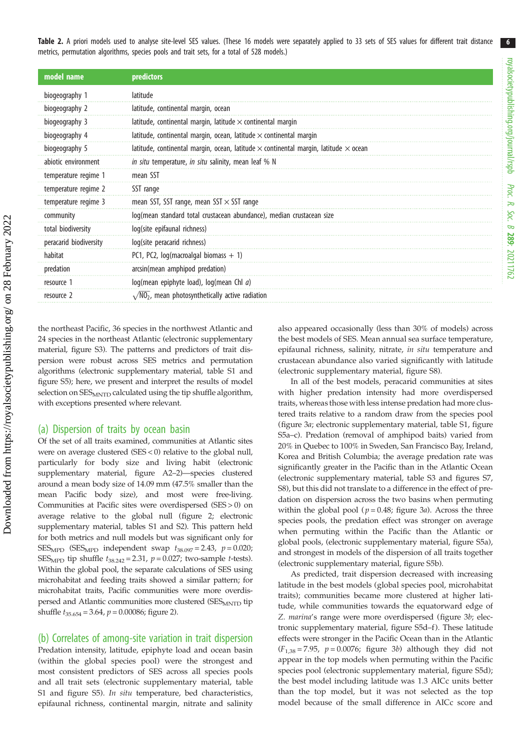<span id="page-5-0"></span>Table 2. A priori models used to analyse site-level SES values. (These 16 models were separately applied to 33 sets of SES values for different trait distance metrics, permutation algorithms, species pools and trait sets, for a total of 528 models.)

| model name             | predictors                                                                                         |  |  |
|------------------------|----------------------------------------------------------------------------------------------------|--|--|
| biogeography 1         | latitude                                                                                           |  |  |
| biogeography 2         | latitude, continental margin, ocean                                                                |  |  |
| biogeography 3         | latitude, continental margin, latitude $\times$ continental margin                                 |  |  |
| biogeography 4         | latitude, continental margin, ocean, latitude $\times$ continental margin                          |  |  |
| biogeography 5         | latitude, continental margin, ocean, latitude $\times$ continental margin, latitude $\times$ ocean |  |  |
| abiotic environment    | <i>in situ</i> temperature, <i>in situ</i> salinity, mean leaf % N                                 |  |  |
| temperature regime 1   | mean SST                                                                                           |  |  |
| temperature regime 2   | SST range                                                                                          |  |  |
| temperature regime 3   | mean SST, SST range, mean SST $\times$ SST range                                                   |  |  |
| community              | log(mean standard total crustacean abundance), median crustacean size                              |  |  |
| total biodiversity     | log(site epifaunal richness)                                                                       |  |  |
| peracarid biodiversity | log(site peracarid richness)                                                                       |  |  |
| habitat                | PC1, PC2, $log(maxroalgal biomass + 1)$                                                            |  |  |
| predation              | arcsin(mean amphipod predation)                                                                    |  |  |
| resource 1             | log(mean epiphyte load), log(mean Chl a)                                                           |  |  |
| resource 2             | $\sqrt{NQ_2}$ , mean photosynthetically active radiation                                           |  |  |

the northeast Pacific, 36 species in the northwest Atlantic and 24 species in the northeast Atlantic (electronic supplementary material, figure S3). The patterns and predictors of trait dispersion were robust across SES metrics and permutation algorithms (electronic supplementary material, table S1 and figure S5); here, we present and interpret the results of model selection on SES<sub>MNTD</sub> calculated using the tip shuffle algorithm, with exceptions presented where relevant.

#### (a) Dispersion of traits by ocean basin

Of the set of all traits examined, communities at Atlantic sites were on average clustered (SES < 0) relative to the global null, particularly for body size and living habit (electronic supplementary material, figure A2–2)—species clustered around a mean body size of 14.09 mm (47.5% smaller than the mean Pacific body size), and most were free-living. Communities at Pacific sites were overdispersed (SES > 0) on average relative to the global null [\(figure 2;](#page-6-0) electronic supplementary material, tables S1 and S2). This pattern held for both metrics and null models but was significant only for SES<sub>MPD</sub> (SES<sub>MPD</sub> independent swap  $t_{38.097} = 2.43$ ,  $p = 0.020$ ; SES<sub>MPD</sub> tip shuffle  $t_{38.242} = 2.31$ ,  $p = 0.027$ ; two-sample *t*-tests). Within the global pool, the separate calculations of SES using microhabitat and feeding traits showed a similar pattern; for microhabitat traits, Pacific communities were more overdispersed and Atlantic communities more clustered (SES<sub>MNTD</sub> tip shuffle  $t_{35.654} = 3.64$ ,  $p = 0.00086$ ; [figure 2](#page-6-0)).

#### (b) Correlates of among-site variation in trait dispersion

Predation intensity, latitude, epiphyte load and ocean basin (within the global species pool) were the strongest and most consistent predictors of SES across all species pools and all trait sets (electronic supplementary material, table S1 and figure S5). In situ temperature, bed characteristics, epifaunal richness, continental margin, nitrate and salinity also appeared occasionally (less than 30% of models) across the best models of SES. Mean annual sea surface temperature, epifaunal richness, salinity, nitrate, in situ temperature and crustacean abundance also varied significantly with latitude (electronic supplementary material, figure S8).

In all of the best models, peracarid communities at sites with higher predation intensity had more overdispersed traits, whereas those with less intense predation had more clustered traits relative to a random draw from the species pool ([figure 3](#page-7-0)a; electronic supplementary material, table S1, figure S5a–c). Predation (removal of amphipod baits) varied from 20% in Quebec to 100% in Sweden, San Francisco Bay, Ireland, Korea and British Columbia; the average predation rate was significantly greater in the Pacific than in the Atlantic Ocean (electronic supplementary material, table S3 and figures S7, S8), but this did not translate to a difference in the effect of predation on dispersion across the two basins when permuting within the global pool ( $p = 0.48$ ; [figure 3](#page-7-0)a). Across the three species pools, the predation effect was stronger on average when permuting within the Pacific than the Atlantic or global pools, (electronic supplementary material, figure S5a), and strongest in models of the dispersion of all traits together (electronic supplementary material, figure S5b).

As predicted, trait dispersion decreased with increasing latitude in the best models (global species pool, microhabitat traits); communities became more clustered at higher latitude, while communities towards the equatorward edge of Z. marina's range were more overdispersed [\(figure 3](#page-7-0)b; electronic supplementary material, figure S5d-f). These latitude effects were stronger in the Pacific Ocean than in the Atlantic  $(F<sub>1,38</sub> = 7.95, p = 0.0076;$  [figure 3](#page-7-0)b) although they did not appear in the top models when permuting within the Pacific species pool (electronic supplementary material, figure S5d); the best model including latitude was 1.3 AICc units better than the top model, but it was not selected as the top model because of the small difference in AICc score and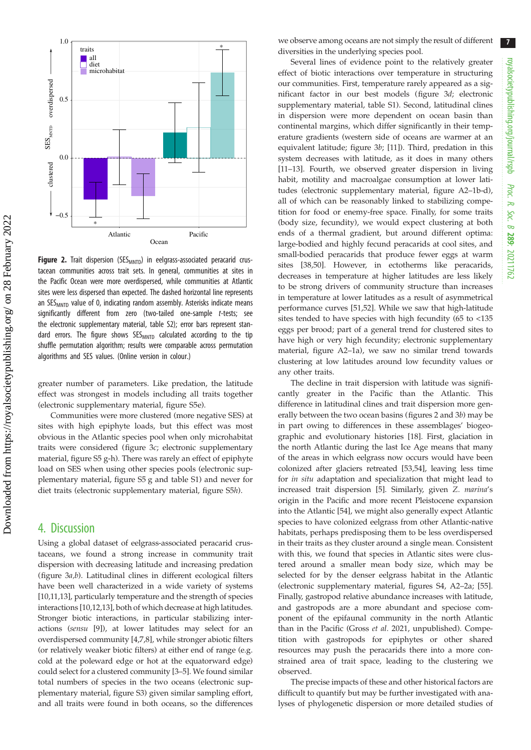<span id="page-6-0"></span>

Figure 2. Trait dispersion (SES $_{MNTD}$ ) in eelgrass-associated peracarid crustacean communities across trait sets. In general, communities at sites in the Pacific Ocean were more overdispersed, while communities at Atlantic sites were less dispersed than expected. The dashed horizontal line represents an SES<sub>MNTD</sub> value of 0, indicating random assembly. Asterisks indicate means significantly different from zero (two-tailed one-sample t-tests; see the electronic supplementary material, table S2); error bars represent standard errors. The figure shows SES<sub>MNTD</sub> calculated according to the tip shuffle permutation algorithm; results were comparable across permutation algorithms and SES values. (Online version in colour.)

greater number of parameters. Like predation, the latitude effect was strongest in models including all traits together (electronic supplementary material, figure S5e).

Communities were more clustered (more negative SES) at sites with high epiphyte loads, but this effect was most obvious in the Atlantic species pool when only microhabitat traits were considered ([figure 3](#page-7-0)c; electronic supplementary material, figure S5 g-h). There was rarely an effect of epiphyte load on SES when using other species pools (electronic supplementary material, figure S5 g and table S1) and never for diet traits (electronic supplementary material, figure S5h).

### 4. Discussion

Using a global dataset of eelgrass-associated peracarid crustaceans, we found a strong increase in community trait dispersion with decreasing latitude and increasing predation [\(figure 3](#page-7-0)a,b). Latitudinal clines in different ecological filters have been well characterized in a wide variety of systems [\[10](#page-8-0),[11,13](#page-8-0)], particularly temperature and the strength of species interactions [\[10,12,13](#page-8-0)], both of which decrease at high latitudes. Stronger biotic interactions, in particular stabilizing interactions (sensu [[9](#page-8-0)]), at lower latitudes may select for an overdispersed community [[4](#page-8-0),[7,8\]](#page-8-0), while stronger abiotic filters (or relatively weaker biotic filters) at either end of range (e.g. cold at the poleward edge or hot at the equatorward edge) could select for a clustered community [[3](#page-8-0)–[5](#page-8-0)]. We found similar total numbers of species in the two oceans (electronic supplementary material, figure S3) given similar sampling effort, and all traits were found in both oceans, so the differences we observe among oceans are not simply the result of different diversities in the underlying species pool.

Several lines of evidence point to the relatively greater effect of biotic interactions over temperature in structuring our communities. First, temperature rarely appeared as a significant factor in our best models [\(figure 3](#page-7-0)d; electronic supplementary material, table S1). Second, latitudinal clines in dispersion were more dependent on ocean basin than continental margins, which differ significantly in their temperature gradients (western side of oceans are warmer at an equivalent latitude; [figure 3](#page-7-0)b; [\[11\]](#page-8-0)). Third, predation in this system decreases with latitude, as it does in many others [[11](#page-8-0)–[13\]](#page-8-0). Fourth, we observed greater dispersion in living habit, motility and macroalgae consumption at lower latitudes (electronic supplementary material, figure A2–1b-d), all of which can be reasonably linked to stabilizing competition for food or enemy-free space. Finally, for some traits (body size, fecundity), we would expect clustering at both ends of a thermal gradient, but around different optima: large-bodied and highly fecund peracarids at cool sites, and small-bodied peracarids that produce fewer eggs at warm sites [\[38,50](#page-9-0)]. However, in ectotherms like peracarids, decreases in temperature at higher latitudes are less likely to be strong drivers of community structure than increases in temperature at lower latitudes as a result of asymmetrical performance curves [\[51,52](#page-9-0)]. While we saw that high-latitude sites tended to have species with high fecundity (65 to <135 eggs per brood; part of a general trend for clustered sites to have high or very high fecundity; electronic supplementary material, figure A2–1a), we saw no similar trend towards clustering at low latitudes around low fecundity values or any other traits.

The decline in trait dispersion with latitude was significantly greater in the Pacific than the Atlantic. This difference in latitudinal clines and trait dispersion more generally between the two ocean basins (figures 2 and [3](#page-7-0)b) may be in part owing to differences in these assemblages' biogeographic and evolutionary histories [\[18](#page-8-0)]. First, glaciation in the north Atlantic during the last Ice Age means that many of the areas in which eelgrass now occurs would have been colonized after glaciers retreated [\[53](#page-9-0),[54\]](#page-9-0), leaving less time for in situ adaptation and specialization that might lead to increased trait dispersion [\[5\]](#page-8-0). Similarly, given Z. marina's origin in the Pacific and more recent Pleistocene expansion into the Atlantic [\[54](#page-9-0)], we might also generally expect Atlantic species to have colonized eelgrass from other Atlantic-native habitats, perhaps predisposing them to be less overdispersed in their traits as they cluster around a single mean. Consistent with this, we found that species in Atlantic sites were clustered around a smaller mean body size, which may be selected for by the denser eelgrass habitat in the Atlantic (electronic supplementary material, figures S4, A2–2a; [[55\]](#page-9-0). Finally, gastropod relative abundance increases with latitude, and gastropods are a more abundant and speciose component of the epifaunal community in the north Atlantic than in the Pacific (Gross et al. 2021, unpublished). Competition with gastropods for epiphytes or other shared resources may push the peracarids there into a more constrained area of trait space, leading to the clustering we observed.

The precise impacts of these and other historical factors are difficult to quantify but may be further investigated with analyses of phylogenetic dispersion or more detailed studies of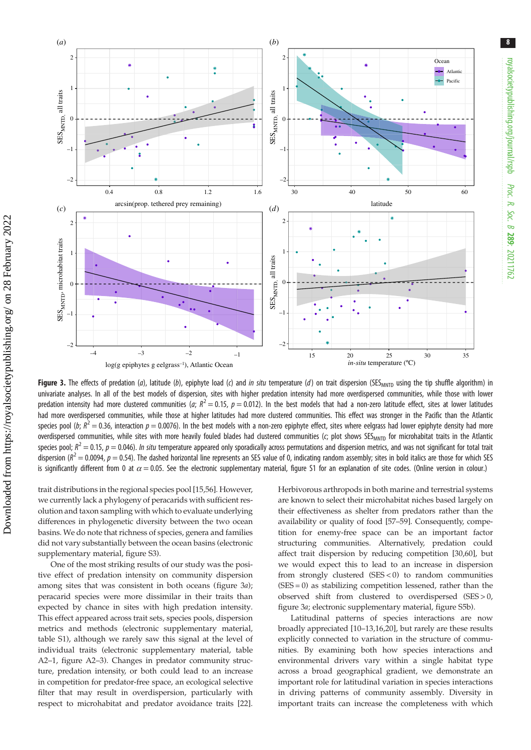<span id="page-7-0"></span>

Figure 3. The effects of predation (a), latitude (b), epiphyte load (c) and in situ temperature (d) on trait dispersion (SES<sub>MNTD</sub> using the tip shuffle algorithm) in univariate analyses. In all of the best models of dispersion, sites with higher predation intensity had more overdispersed communities, while those with lower predation intensity had more clustered communities (a;  $R^2$  = 0.15,  $p$  = 0.012). In the best models that had a non-zero latitude effect, sites at lower latitudes had more overdispersed communities, while those at higher latitudes had more clustered communities. This effect was stronger in the Pacific than the Atlantic species pool (b;  $R^2$  = 0.36, interaction  $p = 0.0076$ ). In the best models with a non-zero epiphyte effect, sites where eelgrass had lower epiphyte density had more overdispersed communities, while sites with more heavily fouled blades had clustered communities (c; plot shows SES<sub>MNTD</sub> for microhabitat traits in the Atlantic species pool;  $R^2$   $=$  0.15,  $p$   $=$  0.046). In situ temperature appeared only sporadically across permutations and dispersion metrics, and was not significant for total trait dispersion ( $R^2$  = 0.0094,  $p$  = 0.54). The dashed horizontal line represents an SES value of 0, indicating random assembly; sites in bold italics are those for which SES is significantly different from 0 at  $\alpha$  = 0.05. See the electronic supplementary material, figure S1 for an explanation of site codes. (Online version in colour.)

trait distributions in the regional species pool [\[15](#page-8-0)[,56](#page-9-0)]. However, we currently lack a phylogeny of peracarids with sufficient resolution and taxon sampling with which to evaluate underlying differences in phylogenetic diversity between the two ocean basins. We do note that richness of species, genera and families did not vary substantially between the ocean basins (electronic supplementary material, figure S3).

One of the most striking results of our study was the positive effect of predation intensity on community dispersion among sites that was consistent in both oceans (figure 3a); peracarid species were more dissimilar in their traits than expected by chance in sites with high predation intensity. This effect appeared across trait sets, species pools, dispersion metrics and methods (electronic supplementary material, table S1), although we rarely saw this signal at the level of individual traits (electronic supplementary material, table A2–1, figure A2–3). Changes in predator community structure, predation intensity, or both could lead to an increase in competition for predator-free space, an ecological selective filter that may result in overdispersion, particularly with respect to microhabitat and predator avoidance traits [\[22](#page-8-0)]. Herbivorous arthropods in both marine and terrestrial systems are known to select their microhabitat niches based largely on their effectiveness as shelter from predators rather than the availability or quality of food [\[57](#page-9-0)–[59](#page-9-0)]. Consequently, competition for enemy-free space can be an important factor structuring communities. Alternatively, predation could affect trait dispersion by reducing competition [\[30,60](#page-9-0)], but we would expect this to lead to an increase in dispersion from strongly clustered (SES < 0) to random communities (SES = 0) as stabilizing competition lessened, rather than the observed shift from clustered to overdispersed (SES > 0, figure 3a; electronic supplementary material, figure S5b).

Latitudinal patterns of species interactions are now broadly appreciated [\[10](#page-8-0)–[13,16,20](#page-8-0)], but rarely are these results explicitly connected to variation in the structure of communities. By examining both how species interactions and environmental drivers vary within a single habitat type across a broad geographical gradient, we demonstrate an important role for latitudinal variation in species interactions in driving patterns of community assembly. Diversity in important traits can increase the completeness with which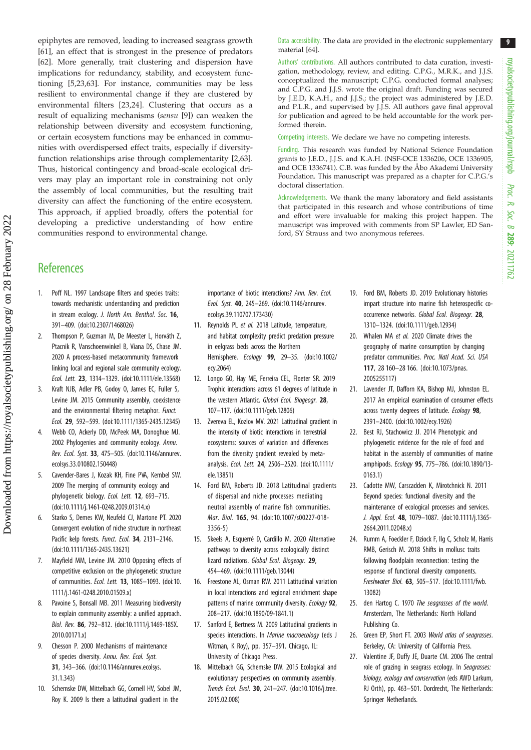<span id="page-8-0"></span>epiphytes are removed, leading to increased seagrass growth [\[61](#page-9-0)], an effect that is strongest in the presence of predators [\[62](#page-9-0)]. More generally, trait clustering and dispersion have implications for redundancy, stability, and ecosystem functioning [5,23[,63](#page-9-0)]. For instance, communities may be less resilient to environmental change if they are clustered by environmental filters [23,24]. Clustering that occurs as a result of equalizing mechanisms (sensu [9]) can weaken the relationship between diversity and ecosystem functioning, or certain ecosystem functions may be enhanced in communities with overdispersed effect traits, especially if diversityfunction relationships arise through complementarity [2[,63](#page-9-0)]. Thus, historical contingency and broad-scale ecological drivers may play an important role in constraining not only the assembly of local communities, but the resulting trait diversity can affect the functioning of the entire ecosystem. This approach, if applied broadly, offers the potential for developing a predictive understanding of how entire communities respond to environmental change.

#### Data accessibility. The data are provided in the electronic supplementary material [[64\]](#page-9-0).

Authors' contributions. All authors contributed to data curation, investigation, methodology, review, and editing. C.P.G., M.R.K., and J.J.S. conceptualized the manuscript; C.P.G. conducted formal analyses; and C.P.G. and J.J.S. wrote the original draft. Funding was secured by J.E.D, K.A.H., and J.J.S.; the project was administered by J.E.D. and P.L.R., and supervised by J.J.S. All authors gave final approval for publication and agreed to be held accountable for the work performed therein.

Competing interests. We declare we have no competing interests.

Funding. This research was funded by National Science Foundation grants to J.E.D., J.J.S. and K.A.H. (NSF-OCE 1336206, OCE 1336905, and OCE 1336741). C.B. was funded by the Åbo Akademi University Foundation. This manuscript was prepared as a chapter for C.P.G.'s doctoral dissertation.

Acknowledgements. We thank the many laboratory and field assistants that participated in this research and whose contributions of time and effort were invaluable for making this project happen. The manuscript was improved with comments from SP Lawler, ED Sanford, SY Strauss and two anonymous referees.

## **References**

- 1. Poff NL. 1997 Landscape filters and species traits: towards mechanistic understanding and prediction in stream ecology. J. North Am. Benthol. Soc. 16, 391–409. ([doi:10.2307/1468026\)](http://dx.doi.org/10.2307/1468026)
- 2. Thompson P, Guzman M, De Meester L, Horváth Z, Ptacnik R, Vanschoenwinkel B, Viana DS, Chase JM. 2020 A process-based metacommunity framework linking local and regional scale community ecology. Ecol. Lett. 23, 1314–1329. ([doi:10.1111/ele.13568\)](http://dx.doi.org/10.1111/ele.13568)
- Kraft NJB, Adler PB, Godoy O, James EC, Fuller S, Levine JM. 2015 Community assembly, coexistence and the environmental filtering metaphor. Funct. Ecol. 29, 592–599. [\(doi:10.1111/1365-2435.12345\)](http://dx.doi.org/10.1111/1365-2435.12345)
- Webb CO, Ackerly DD, McPeek MA, Donoghue MJ. 2002 Phylogenies and community ecology. Annu. Rev. Ecol. Syst. 33, 475–505. ([doi:10.1146/annurev.](http://dx.doi.org/10.1146/annurev.ecolsys.33.010802.150448) [ecolsys.33.010802.150448](http://dx.doi.org/10.1146/annurev.ecolsys.33.010802.150448))
- 5. Cavender-Bares J, Kozak KH, Fine PVA, Kembel SW. 2009 The merging of community ecology and phylogenetic biology. Ecol. Lett. 12, 693–715. [\(doi:10.1111/j.1461-0248.2009.01314.x](http://dx.doi.org/10.1111/j.1461-0248.2009.01314.x))
- 6. Starko S, Demes KW, Neufeld CJ, Martone PT. 2020 Convergent evolution of niche structure in northeast Pacific kelp forests. Funct. Ecol. 34, 2131-2146. [\(doi:10.1111/1365-2435.13621\)](https://doi.org/10.1111/1365-2435.13621)
- 7. Mayfield MM, Levine JM. 2010 Opposing effects of competitive exclusion on the phylogenetic structure of communities. Ecol. Lett. 13, 1085–1093. ([doi:10.](http://dx.doi.org/10.1111/j.1461-0248.2010.01509.x) [1111/j.1461-0248.2010.01509.x](http://dx.doi.org/10.1111/j.1461-0248.2010.01509.x))
- 8. Pavoine S, Bonsall MB. 2011 Measuring biodiversity to explain community assembly: a unified approach. Biol. Rev. 86, 792–812. ([doi:10.1111/j.1469-185X.](http://dx.doi.org/10.1111/j.1469-185X.2010.00171.x) [2010.00171.x\)](http://dx.doi.org/10.1111/j.1469-185X.2010.00171.x)
- 9. Chesson P. 2000 Mechanisms of maintenance of species diversity. Annu. Rev. Ecol. Syst. 31, 343–366. ([doi:10.1146/annurev.ecolsys.](http://dx.doi.org/10.1146/annurev.ecolsys.31.1.343) [31.1.343\)](http://dx.doi.org/10.1146/annurev.ecolsys.31.1.343)
- 10. Schemske DW, Mittelbach GG, Cornell HV, Sobel JM, Roy K. 2009 Is there a latitudinal gradient in the

importance of biotic interactions? Ann. Rev. Ecol. Evol. Syst. 40, 245–269. [\(doi:10.1146/annurev.](http://dx.doi.org/10.1146/annurev.ecolsys.39.110707.173430) [ecolsys.39.110707.173430\)](http://dx.doi.org/10.1146/annurev.ecolsys.39.110707.173430)

- 11. Reynolds PL et al. 2018 Latitude, temperature, and habitat complexity predict predation pressure in eelgrass beds across the Northern Hemisphere. Ecology 99, 29–35. [\(doi:10.1002/](http://dx.doi.org/10.1002/ecy.2064) [ecy.2064\)](http://dx.doi.org/10.1002/ecy.2064)
- 12. Longo GO, Hay ME, Ferreira CEL, Floeter SR. 2019 Trophic interactions across 61 degrees of latitude in the western Atlantic. Global Ecol. Biogeogr. 28, 107–117. ([doi:10.1111/geb.12806](https://doi.org/10.1111/geb.12806))
- 13. Zvereva EL, Kozlov MV. 2021 Latitudinal gradient in the intensity of biotic interactions in terrestrial ecosystems: sources of variation and differences from the diversity gradient revealed by metaanalysis. Ecol. Lett. 24, 2506–2520. [\(doi:10.1111/](http://dx.doi.org/10.1111/ele.13851) [ele.13851\)](http://dx.doi.org/10.1111/ele.13851)
- 14. Ford BM, Roberts JD. 2018 Latitudinal gradients of dispersal and niche processes mediating neutral assembly of marine fish communities. Mar. Biol. 165, 94. ([doi:10.1007/s00227-018-](http://dx.doi.org/10.1007/s00227-018-3356-5) [3356-5](http://dx.doi.org/10.1007/s00227-018-3356-5))
- 15. Skeels A, Esquerré D, Cardillo M. 2020 Alternative pathways to diversity across ecologically distinct lizard radiations. Global Ecol. Biogeogr. 29, 454–469. ([doi:10.1111/geb.13044](http://dx.doi.org/10.1111/geb.13044))
- 16. Freestone AL, Osman RW. 2011 Latitudinal variation in local interactions and regional enrichment shape patterns of marine community diversity. Ecology 92, 208–217. ([doi:10.1890/09-1841.1\)](http://dx.doi.org/10.1890/09-1841.1)
- 17. Sanford E, Bertness M. 2009 Latitudinal gradients in species interactions. In Marine macroecology (eds J Witman, K Roy), pp. 357–391. Chicago, IL: University of Chicago Press.
- 18. Mittelbach GG, Schemske DW. 2015 Ecological and evolutionary perspectives on community assembly. Trends Ecol. Evol. 30, 241–247. ([doi:10.1016/j.tree.](http://dx.doi.org/10.1016/j.tree.2015.02.008) [2015.02.008\)](http://dx.doi.org/10.1016/j.tree.2015.02.008)
- 19. Ford BM, Roberts JD. 2019 Evolutionary histories impart structure into marine fish heterospecific cooccurrence networks. Global Ecol. Biogeogr. 28, 1310–1324. [\(doi:10.1111/geb.12934\)](http://dx.doi.org/10.1111/geb.12934)
- 20. Whalen MA et al. 2020 Climate drives the geography of marine consumption by changing predator communities. Proc. Natl Acad. Sci. USA 117, 28 160–28 166. ([doi:10.1073/pnas.](http://dx.doi.org/10.1073/pnas.2005255117) [2005255117](http://dx.doi.org/10.1073/pnas.2005255117))
- 21. Lavender JT, Dafforn KA, Bishop MJ, Johnston EL. 2017 An empirical examination of consumer effects across twenty degrees of latitude. Ecology 98, 2391–2400. [\(doi:10.1002/ecy.1926\)](http://dx.doi.org/10.1002/ecy.1926)
- 22. Best RJ, Stachowicz JJ. 2014 Phenotypic and phylogenetic evidence for the role of food and habitat in the assembly of communities of marine amphipods. Ecology 95, 775–786. [\(doi:10.1890/13-](http://dx.doi.org/10.1890/13-0163.1) [0163.1](http://dx.doi.org/10.1890/13-0163.1))
- 23. Cadotte MW, Carscadden K, Mirotchnick N. 2011 Beyond species: functional diversity and the maintenance of ecological processes and services. J. Appl. Ecol. 48, 1079–1087. [\(doi:10.1111/j.1365-](http://dx.doi.org/10.1111/j.1365-2664.2011.02048.x) [2664.2011.02048.x\)](http://dx.doi.org/10.1111/j.1365-2664.2011.02048.x)
- 24. Rumm A, Foeckler F, Dziock F, Ilg C, Scholz M, Harris RMB, Gerisch M. 2018 Shifts in mollusc traits following floodplain reconnection: testing the response of functional diversity components. Freshwater Biol. 63, 505–517. ([doi:10.1111/fwb.](https://doi.org/10.1111/fwb.13082) [13082\)](https://doi.org/10.1111/fwb.13082)
- 25. den Hartog C. 1970 The seagrasses of the world. Amsterdam, The Netherlands: North Holland Publishing Co.
- 26. Green EP, Short FT. 2003 World atlas of seagrasses. Berkeley, CA: University of California Press.
- 27. Valentine JF, Duffy JE, Duarte CM. 2006 The central role of grazing in seagrass ecology. In Seagrasses: biology, ecology and conservation (eds AWD Larkum, RJ Orth), pp. 463–501. Dordrecht, The Netherlands: Springer Netherlands.